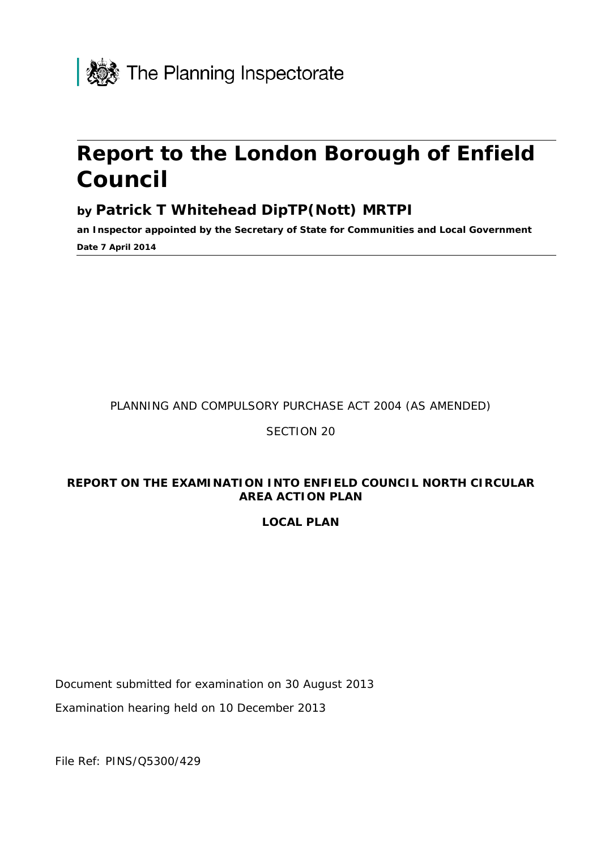

# **Report to the London Borough of Enfield Council**

### **by Patrick T Whitehead DipTP(Nott) MRTPI**

**an Inspector appointed by the Secretary of State for Communities and Local Government Date 7 April 2014**

PLANNING AND COMPULSORY PURCHASE ACT 2004 (AS AMENDED)

### SECTION 20

### **REPORT ON THE EXAMINATION INTO ENFIELD COUNCIL NORTH CIRCULAR AREA ACTION PLAN**

### **LOCAL PLAN**

Document submitted for examination on 30 August 2013

Examination hearing held on 10 December 2013

File Ref: PINS/Q5300/429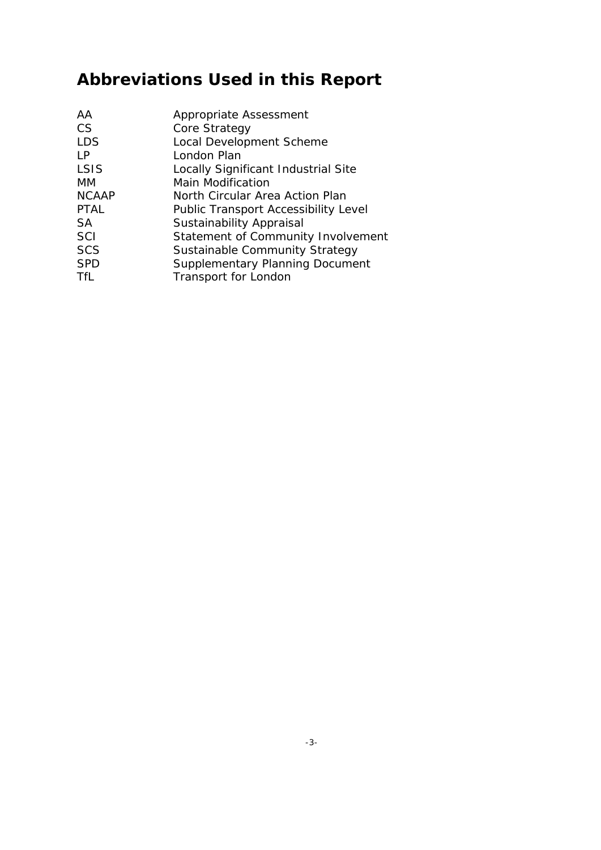# **Abbreviations Used in this Report**

| Statement of Community Involvement |
|------------------------------------|
|                                    |
|                                    |
|                                    |
|                                    |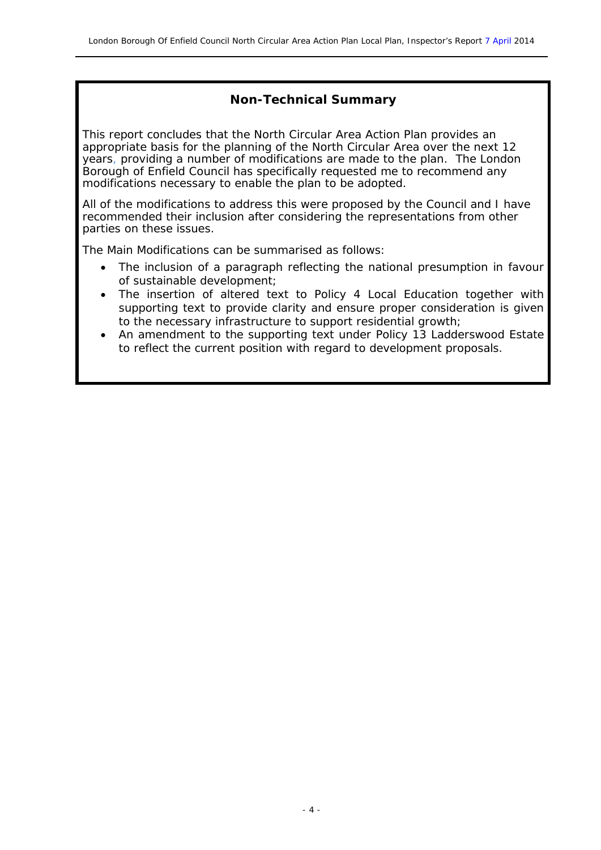### **Non-Technical Summary**

This report concludes that the North Circular Area Action Plan provides an appropriate basis for the planning of the North Circular Area over the next 12 years, providing a number of modifications are made to the plan. The London Borough of Enfield Council has specifically requested me to recommend any modifications necessary to enable the plan to be adopted.

All of the modifications to address this were proposed by the Council and I have recommended their inclusion after considering the representations from other parties on these issues.

The Main Modifications can be summarised as follows:

- The inclusion of a paragraph reflecting the national presumption in favour of sustainable development;
- The insertion of altered text to Policy 4 Local Education together with supporting text to provide clarity and ensure proper consideration is given to the necessary infrastructure to support residential growth;
- An amendment to the supporting text under Policy 13 Ladderswood Estate to reflect the current position with regard to development proposals.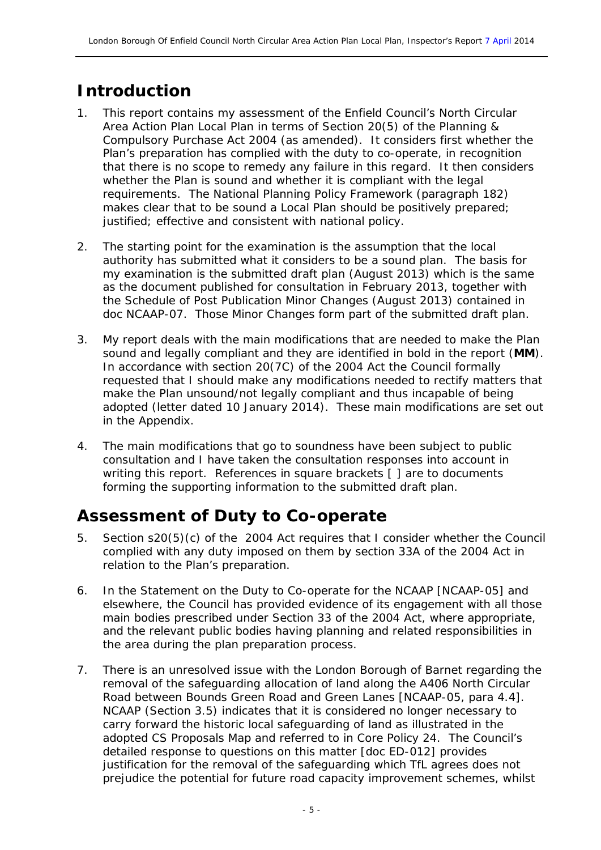## **Introduction**

- 1. This report contains my assessment of the Enfield Council's North Circular Area Action Plan Local Plan in terms of Section 20(5) of the Planning & Compulsory Purchase Act 2004 (as amended). It considers first whether the Plan's preparation has complied with the duty to co-operate, in recognition that there is no scope to remedy any failure in this regard. It then considers whether the Plan is sound and whether it is compliant with the legal requirements. The National Planning Policy Framework (paragraph 182) makes clear that to be sound a Local Plan should be positively prepared; justified; effective and consistent with national policy.
- 2. The starting point for the examination is the assumption that the local authority has submitted what it considers to be a sound plan. The basis for my examination is the submitted draft plan (August 2013) which is the same as the document published for consultation in February 2013, together with the Schedule of Post Publication Minor Changes (August 2013) contained in doc NCAAP-07. Those Minor Changes form part of the submitted draft plan.
- 3. My report deals with the main modifications that are needed to make the Plan sound and legally compliant and they are identified in bold in the report (**MM**). In accordance with section 20(7C) of the 2004 Act the Council formally requested that I should make any modifications needed to rectify matters that make the Plan unsound/not legally compliant and thus incapable of being adopted (letter dated 10 January 2014). These main modifications are set out in the Appendix.
- 4. The main modifications that go to soundness have been subject to public consultation and I have taken the consultation responses into account in writing this report. References in square brackets [ ] are to documents forming the supporting information to the submitted draft plan.

### **Assessment of Duty to Co-operate**

- 5. Section s20(5)(c) of the 2004 Act requires that I consider whether the Council complied with any duty imposed on them by section 33A of the 2004 Act in relation to the Plan's preparation.
- 6. In the Statement on the Duty to Co-operate for the NCAAP [NCAAP-05] and elsewhere, the Council has provided evidence of its engagement with all those main bodies prescribed under Section 33 of the 2004 Act, where appropriate, and the relevant public bodies having planning and related responsibilities in the area during the plan preparation process.
- 7. There is an unresolved issue with the London Borough of Barnet regarding the removal of the safeguarding allocation of land along the A406 North Circular Road between Bounds Green Road and Green Lanes [NCAAP-05, para 4.4]. NCAAP (Section 3.5) indicates that it is considered no longer necessary to carry forward the historic local safeguarding of land as illustrated in the adopted CS Proposals Map and referred to in Core Policy 24. The Council's detailed response to questions on this matter [doc ED-012] provides justification for the removal of the safeguarding which TfL agrees does not prejudice the potential for future road capacity improvement schemes, whilst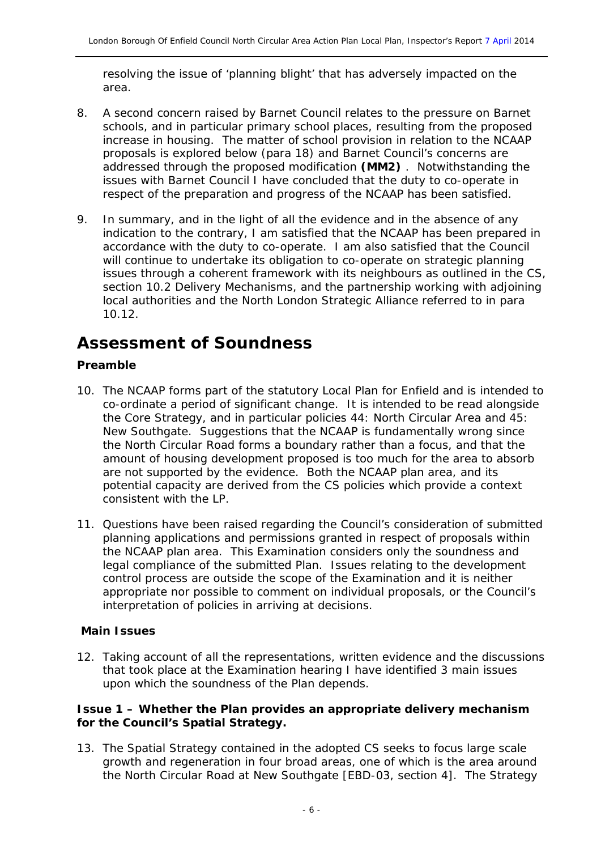resolving the issue of 'planning blight' that has adversely impacted on the area.

- 8. A second concern raised by Barnet Council relates to the pressure on Barnet schools, and in particular primary school places, resulting from the proposed increase in housing. The matter of school provision in relation to the NCAAP proposals is explored below (para 18) and Barnet Council's concerns are addressed through the proposed modification **(MM2)** . Notwithstanding the issues with Barnet Council I have concluded that the duty to co-operate in respect of the preparation and progress of the NCAAP has been satisfied.
- 9. In summary, and in the light of all the evidence and in the absence of any indication to the contrary, I am satisfied that the NCAAP has been prepared in accordance with the duty to co-operate. I am also satisfied that the Council will continue to undertake its obligation to co-operate on strategic planning issues through a coherent framework with its neighbours as outlined in the CS, section 10.2 Delivery Mechanisms, and the partnership working with adjoining local authorities and the North London Strategic Alliance referred to in para 10.12.

### **Assessment of Soundness**

#### **Preamble**

- 10. The NCAAP forms part of the statutory Local Plan for Enfield and is intended to co-ordinate a period of significant change. It is intended to be read alongside the Core Strategy, and in particular policies 44: North Circular Area and 45: New Southgate. Suggestions that the NCAAP is fundamentally wrong since the North Circular Road forms a boundary rather than a focus, and that the amount of housing development proposed is too much for the area to absorb are not supported by the evidence. Both the NCAAP plan area, and its potential capacity are derived from the CS policies which provide a context consistent with the LP.
- 11. Questions have been raised regarding the Council's consideration of submitted planning applications and permissions granted in respect of proposals within the NCAAP plan area. This Examination considers only the soundness and legal compliance of the submitted Plan. Issues relating to the development control process are outside the scope of the Examination and it is neither appropriate nor possible to comment on individual proposals, or the Council's interpretation of policies in arriving at decisions.

#### **Main Issues**

12. Taking account of all the representations, written evidence and the discussions that took place at the Examination hearing I have identified 3 main issues upon which the soundness of the Plan depends.

#### **Issue 1 – Whether the Plan provides an appropriate delivery mechanism for the Council's Spatial Strategy.**

13. The Spatial Strategy contained in the adopted CS seeks to focus large scale growth and regeneration in four broad areas, one of which is the area around the North Circular Road at New Southgate [EBD-03, section 4]. The Strategy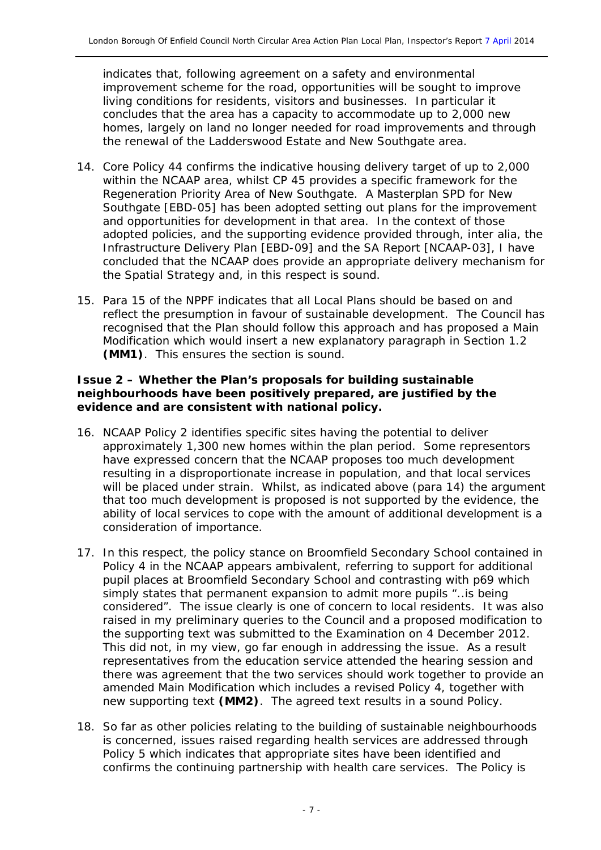indicates that, following agreement on a safety and environmental improvement scheme for the road, opportunities will be sought to improve living conditions for residents, visitors and businesses. In particular it concludes that the area has a capacity to accommodate up to 2,000 new homes, largely on land no longer needed for road improvements and through the renewal of the Ladderswood Estate and New Southgate area.

- 14. Core Policy 44 confirms the indicative housing delivery target of up to 2,000 within the NCAAP area, whilst CP 45 provides a specific framework for the Regeneration Priority Area of New Southgate. A Masterplan SPD for New Southgate [EBD-05] has been adopted setting out plans for the improvement and opportunities for development in that area. In the context of those adopted policies, and the supporting evidence provided through, *inter alia,* the Infrastructure Delivery Plan [EBD-09] and the SA Report [NCAAP-03], I have concluded that the NCAAP does provide an appropriate delivery mechanism for the Spatial Strategy and, in this respect is sound.
- 15. Para 15 of the NPPF indicates that all Local Plans should be based on and reflect the presumption in favour of sustainable development. The Council has recognised that the Plan should follow this approach and has proposed a Main Modification which would insert a new explanatory paragraph in Section 1.2 **(MM1)**. This ensures the section is sound.

#### **Issue 2 – Whether the Plan's proposals for building sustainable neighbourhoods have been positively prepared, are justified by the evidence and are consistent with national policy.**

- 16. NCAAP Policy 2 identifies specific sites having the potential to deliver approximately 1,300 new homes within the plan period. Some representors have expressed concern that the NCAAP proposes too much development resulting in a disproportionate increase in population, and that local services will be placed under strain. Whilst, as indicated above (para 14) the argument that too much development is proposed is not supported by the evidence, the ability of local services to cope with the amount of additional development is a consideration of importance.
- 17. In this respect, the policy stance on Broomfield Secondary School contained in Policy 4 in the NCAAP appears ambivalent, referring to support for additional pupil places at Broomfield Secondary School and contrasting with p69 which simply states that permanent expansion to admit more pupils "..*is being considered*". The issue clearly is one of concern to local residents. It was also raised in my preliminary queries to the Council and a proposed modification to the supporting text was submitted to the Examination on 4 December 2012. This did not, in my view, go far enough in addressing the issue. As a result representatives from the education service attended the hearing session and there was agreement that the two services should work together to provide an amended Main Modification which includes a revised Policy 4, together with new supporting text **(MM2)**. The agreed text results in a sound Policy.
- 18. So far as other policies relating to the building of sustainable neighbourhoods is concerned, issues raised regarding health services are addressed through Policy 5 which indicates that appropriate sites have been identified and confirms the continuing partnership with health care services. The Policy is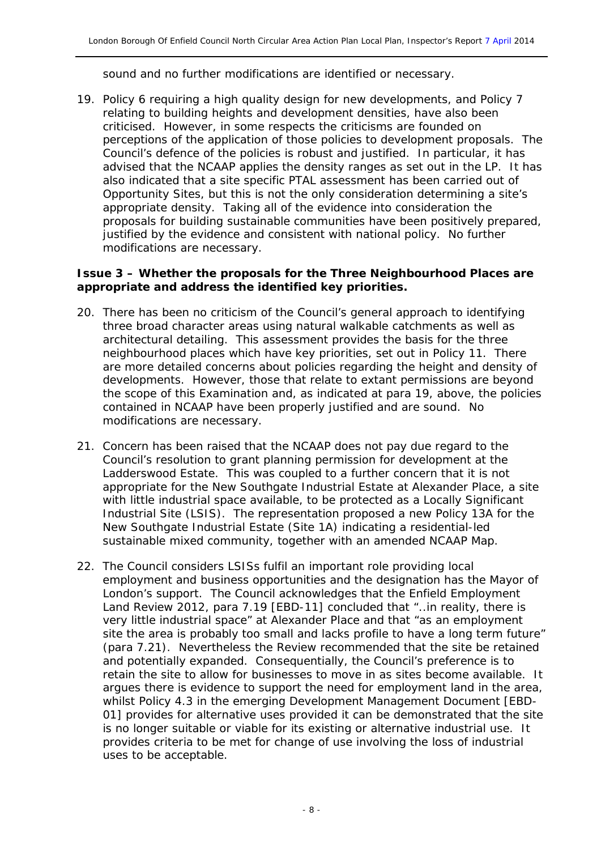sound and no further modifications are identified or necessary.

19. Policy 6 requiring a high quality design for new developments, and Policy 7 relating to building heights and development densities, have also been criticised. However, in some respects the criticisms are founded on perceptions of the application of those policies to development proposals. The Council's defence of the policies is robust and justified. In particular, it has advised that the NCAAP applies the density ranges as set out in the LP. It has also indicated that a site specific PTAL assessment has been carried out of Opportunity Sites, but this is not the only consideration determining a site's appropriate density. Taking all of the evidence into consideration the proposals for building sustainable communities have been positively prepared, justified by the evidence and consistent with national policy. No further modifications are necessary.

#### **Issue 3 – Whether the proposals for the Three Neighbourhood Places are appropriate and address the identified key priorities.**

- 20. There has been no criticism of the Council's general approach to identifying three broad character areas using natural walkable catchments as well as architectural detailing. This assessment provides the basis for the three neighbourhood places which have key priorities, set out in Policy 11. There are more detailed concerns about policies regarding the height and density of developments. However, those that relate to extant permissions are beyond the scope of this Examination and, as indicated at para 19, above, the policies contained in NCAAP have been properly justified and are sound. No modifications are necessary.
- 21. Concern has been raised that the NCAAP does not pay due regard to the Council's resolution to grant planning permission for development at the Ladderswood Estate. This was coupled to a further concern that it is not appropriate for the New Southgate Industrial Estate at Alexander Place, a site with little industrial space available, to be protected as a Locally Significant Industrial Site (LSIS). The representation proposed a new Policy 13A for the New Southgate Industrial Estate (Site 1A) indicating a residential-led sustainable mixed community, together with an amended NCAAP Map.
- 22. The Council considers LSISs fulfil an important role providing local employment and business opportunities and the designation has the Mayor of London's support. The Council acknowledges that the Enfield Employment Land Review 2012, para 7.19 [EBD-11] concluded that "..*in reality, there is very little industrial space*" at Alexander Place and that "*as an employment site the area is probably too small and lacks profile to have a long term future*" (para 7.21). Nevertheless the Review recommended that the site be retained and potentially expanded. Consequentially, the Council's preference is to retain the site to allow for businesses to move in as sites become available. It argues there is evidence to support the need for employment land in the area, whilst Policy 4.3 in the emerging Development Management Document [EBD-01] provides for alternative uses provided it can be demonstrated that the site is no longer suitable or viable for its existing or alternative industrial use. It provides criteria to be met for change of use involving the loss of industrial uses to be acceptable.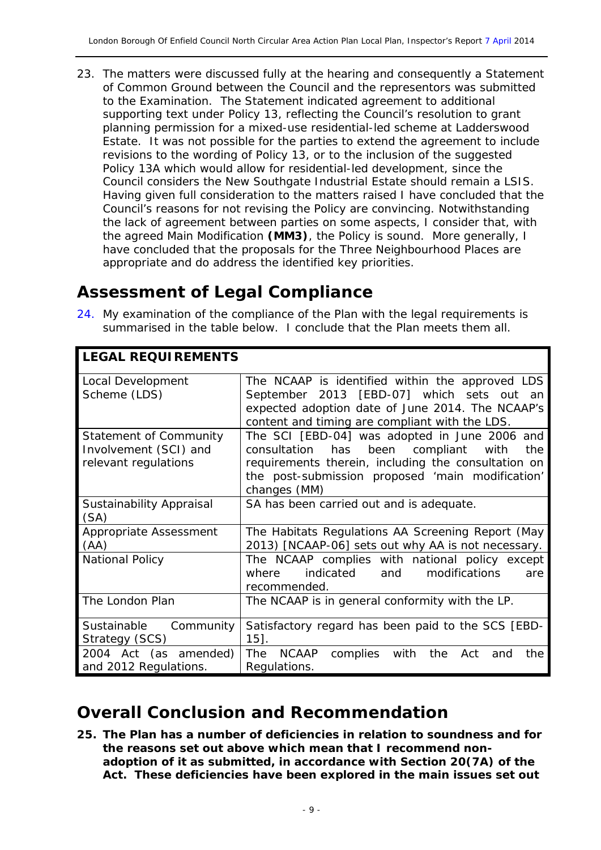23. The matters were discussed fully at the hearing and consequently a Statement of Common Ground between the Council and the representors was submitted to the Examination. The Statement indicated agreement to additional supporting text under Policy 13, reflecting the Council's resolution to grant planning permission for a mixed-use residential-led scheme at Ladderswood Estate. It was not possible for the parties to extend the agreement to include revisions to the wording of Policy 13, or to the inclusion of the suggested Policy 13A which would allow for residential-led development, since the Council considers the New Southgate Industrial Estate should remain a LSIS. Having given full consideration to the matters raised I have concluded that the Council's reasons for not revising the Policy are convincing. Notwithstanding the lack of agreement between parties on some aspects, I consider that, with the agreed Main Modification **(MM3)**, the Policy is sound. More generally, I have concluded that the proposals for the Three Neighbourhood Places are appropriate and do address the identified key priorities.

### **Assessment of Legal Compliance**

**LEGAL REQUIREMENTS**

24. My examination of the compliance of the Plan with the legal requirements is summarised in the table below. I conclude that the Plan meets them all.

| LEGAL REQUIREMENTS                                                             |                                                                                                                                                                                                                                     |
|--------------------------------------------------------------------------------|-------------------------------------------------------------------------------------------------------------------------------------------------------------------------------------------------------------------------------------|
| Local Development<br>Scheme (LDS)                                              | The NCAAP is identified within the approved LDS<br>September 2013 [EBD-07] which sets out an<br>expected adoption date of June 2014. The NCAAP's<br>content and timing are compliant with the LDS.                                  |
| <b>Statement of Community</b><br>Involvement (SCI) and<br>relevant regulations | The SCI [EBD-04] was adopted in June 2006 and<br>been<br>compliant<br>consultation<br>has<br>the<br>with<br>requirements therein, including the consultation on<br>the post-submission proposed 'main modification'<br>changes (MM) |
| Sustainability Appraisal<br>(SA)                                               | SA has been carried out and is adequate.                                                                                                                                                                                            |
| Appropriate Assessment<br>(AA)                                                 | The Habitats Regulations AA Screening Report (May<br>2013) [NCAAP-06] sets out why AA is not necessary.                                                                                                                             |
| <b>National Policy</b>                                                         | The NCAAP complies with national policy except<br>indicated<br>and<br>modifications<br>where<br>are<br>recommended.                                                                                                                 |
| The London Plan                                                                | The NCAAP is in general conformity with the LP.                                                                                                                                                                                     |
| Sustainable<br>Community<br>Strategy (SCS)                                     | Satisfactory regard has been paid to the SCS [EBD-<br>$15$ .                                                                                                                                                                        |
| 2004 Act (as amended)<br>and 2012 Regulations.                                 | <b>NCAAP</b><br>complies<br><b>The</b><br>with<br>the<br>Act<br>the<br>and<br>Regulations.                                                                                                                                          |

### **Overall Conclusion and Recommendation**

**25. The Plan has a number of deficiencies in relation to soundness and for the reasons set out above which mean that I recommend nonadoption of it as submitted, in accordance with Section 20(7A) of the Act. These deficiencies have been explored in the main issues set out**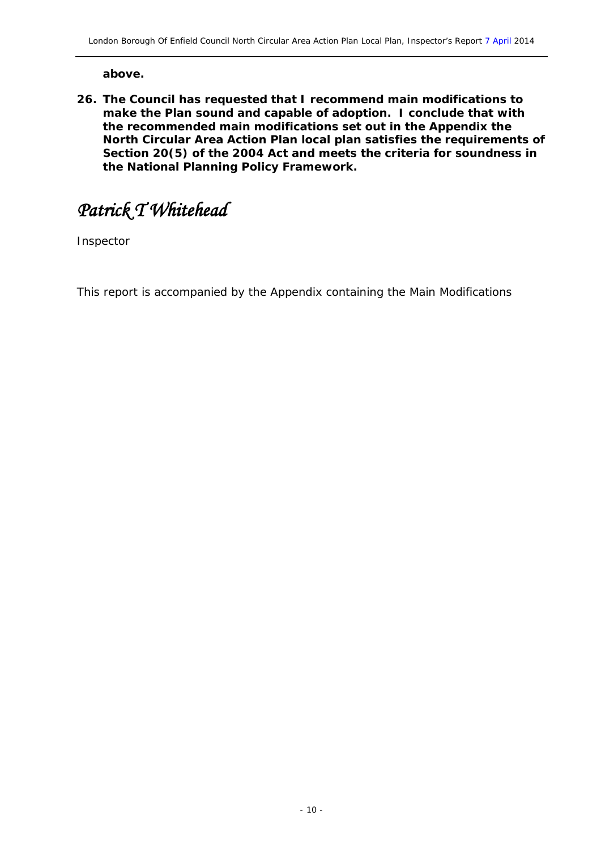**above.**

**26. The Council has requested that I recommend main modifications to make the Plan sound and capable of adoption. I conclude that with the recommended main modifications set out in the Appendix the North Circular Area Action Plan local plan satisfies the requirements of Section 20(5) of the 2004 Act and meets the criteria for soundness in the National Planning Policy Framework.** 

*Patrick T Whitehead* 

Inspector

This report is accompanied by the Appendix containing the Main Modifications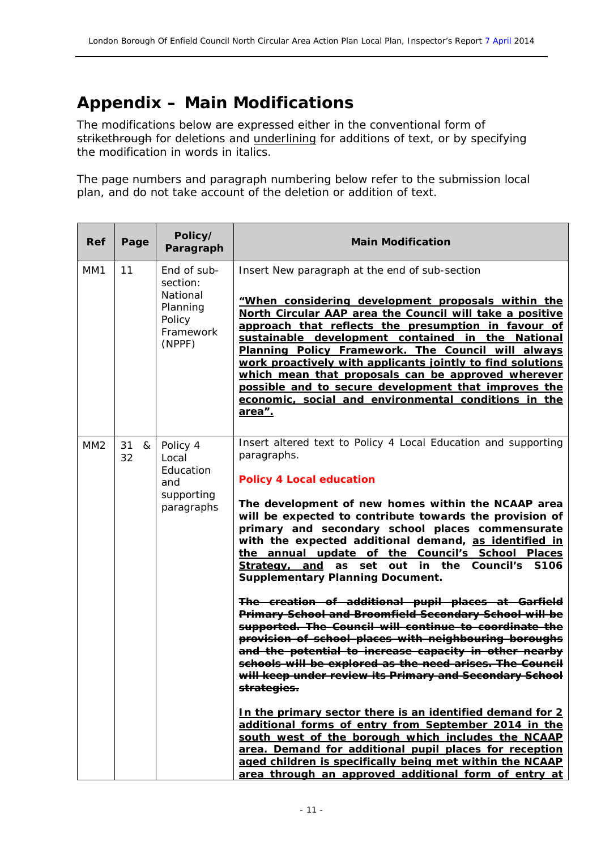## **Appendix – Main Modifications**

The modifications below are expressed either in the conventional form of strikethrough for deletions and underlining for additions of text, or by specifying the modification in words in *italics*.

The page numbers and paragraph numbering below refer to the submission local plan, and do not take account of the deletion or addition of text.

| Ref | Page          | Policy/<br>Paragraph                                                             | <b>Main Modification</b>                                                                                                                                                                                                                                                                                                                                                                                                                                                                                                                                                         |
|-----|---------------|----------------------------------------------------------------------------------|----------------------------------------------------------------------------------------------------------------------------------------------------------------------------------------------------------------------------------------------------------------------------------------------------------------------------------------------------------------------------------------------------------------------------------------------------------------------------------------------------------------------------------------------------------------------------------|
| MM1 | 11            | End of sub-<br>section:<br>National<br>Planning<br>Policy<br>Framework<br>(NPPF) | Insert New paragraph at the end of sub-section<br>"When considering development proposals within the<br>North Circular AAP area the Council will take a positive<br>approach that reflects the presumption in favour of<br>sustainable development contained in the National<br>Planning Policy Framework. The Council will always<br>work proactively with applicants jointly to find solutions<br>which mean that proposals can be approved wherever<br>possible and to secure development that improves the<br>economic, social and environmental conditions in the<br>area". |
| MM2 | 31<br>&<br>32 | Policy 4<br>Local<br>Education<br>and<br>supporting<br>paragraphs                | Insert altered text to Policy 4 Local Education and supporting<br>paragraphs.<br><b>Policy 4 Local education</b><br>The development of new homes within the NCAAP area<br>will be expected to contribute towards the provision of<br>primary and secondary school places commensurate<br>with the expected additional demand, as identified in<br>the annual update of the Council's School Places<br>Strategy, and as set<br>out in the Council's S106<br><b>Supplementary Planning Document.</b>                                                                               |
|     |               |                                                                                  | The creation of additional pupil places at Garfield<br>Primary School and Broomfield Secondary School will be<br>supported. The Council will continue to coordinate the<br>provision of school places with neighbouring boroughs<br>and the potential to increase capacity in other nearby<br>schools will be explored as the need arises. The Council<br>will keep under review its Primary and Secondary School<br>strategies.                                                                                                                                                 |
|     |               |                                                                                  | In the primary sector there is an identified demand for 2<br>additional forms of entry from September 2014 in the<br>south west of the borough which includes the NCAAP<br>area. Demand for additional pupil places for reception<br>aged children is specifically being met within the NCAAP<br>area through an approved additional form of entry at                                                                                                                                                                                                                            |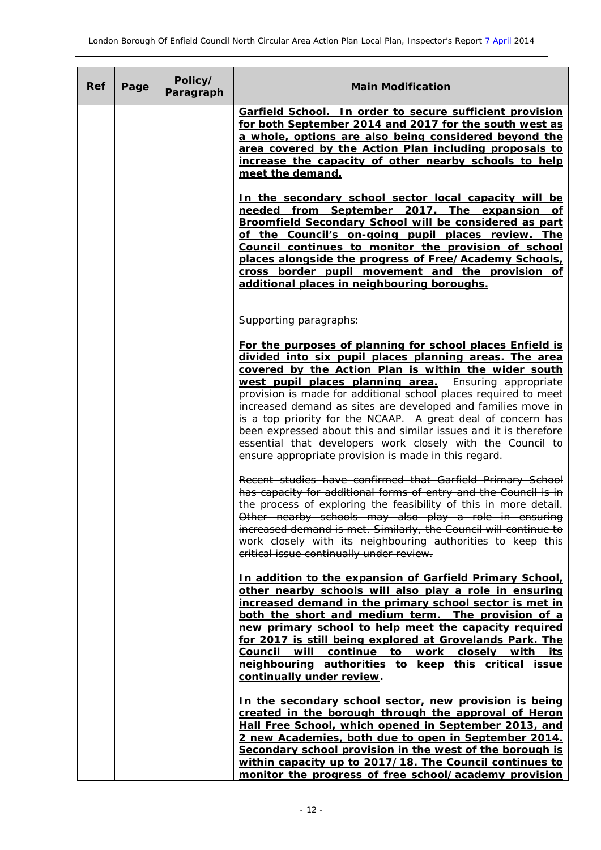| Ref | Page | Policy/<br>Paragraph | <b>Main Modification</b>                                                                                                                                                                                                                                                                                                                                                                                                                                                                                                                                                                                                             |
|-----|------|----------------------|--------------------------------------------------------------------------------------------------------------------------------------------------------------------------------------------------------------------------------------------------------------------------------------------------------------------------------------------------------------------------------------------------------------------------------------------------------------------------------------------------------------------------------------------------------------------------------------------------------------------------------------|
|     |      |                      | Garfield School. In order to secure sufficient provision<br>for both September 2014 and 2017 for the south west as<br>a whole, options are also being considered beyond the<br>area covered by the Action Plan including proposals to<br>increase the capacity of other nearby schools to help<br>meet the demand.                                                                                                                                                                                                                                                                                                                   |
|     |      |                      | In the secondary school sector local capacity will be<br>needed from September 2017. The expansion of<br>Broomfield Secondary School will be considered as part<br>of the Council's on-going pupil places review. The<br>Council continues to monitor the provision of school<br>places alongside the progress of Free/Academy Schools,<br>cross border pupil movement and the provision of<br>additional places in neighbouring boroughs.                                                                                                                                                                                           |
|     |      |                      | Supporting paragraphs:                                                                                                                                                                                                                                                                                                                                                                                                                                                                                                                                                                                                               |
|     |      |                      | For the purposes of planning for school places Enfield is<br>divided into six pupil places planning areas. The area<br>covered by the Action Plan is within the wider south<br>west pupil places planning area.<br>Ensuring appropriate<br>provision is made for additional school places required to meet<br>increased demand as sites are developed and families move in<br>is a top priority for the NCAAP. A great deal of concern has<br>been expressed about this and similar issues and it is therefore<br>essential that developers work closely with the Council to<br>ensure appropriate provision is made in this regard. |
|     |      |                      | Recent studies have confirmed that Garfield Primary School<br>has capacity for additional forms of entry and the Council is in<br>the process of exploring the feasibility of this in more detail.<br>Other nearby schools may also play a role in ensuring<br>increased demand is met. Similarly, the Council will continue to<br>work closely with its neighbouring authorities to keep this<br>critical issue continually under review.                                                                                                                                                                                           |
|     |      |                      | In addition to the expansion of Garfield Primary School,<br>other nearby schools will also play a role in ensuring<br>increased demand in the primary school sector is met in<br>both the short and medium term. The provision of a<br>new primary school to help meet the capacity required<br>for 2017 is still being explored at Grovelands Park. The<br>Council will continue to work closely with its<br>neighbouring authorities to keep this critical issue<br>continually under review.                                                                                                                                      |
|     |      |                      | In the secondary school sector, new provision is being<br>created in the borough through the approval of Heron<br>Hall Free School, which opened in September 2013, and<br>2 new Academies, both due to open in September 2014.<br>Secondary school provision in the west of the borough is<br>within capacity up to 2017/18. The Council continues to<br>monitor the progress of free school/academy provision                                                                                                                                                                                                                      |